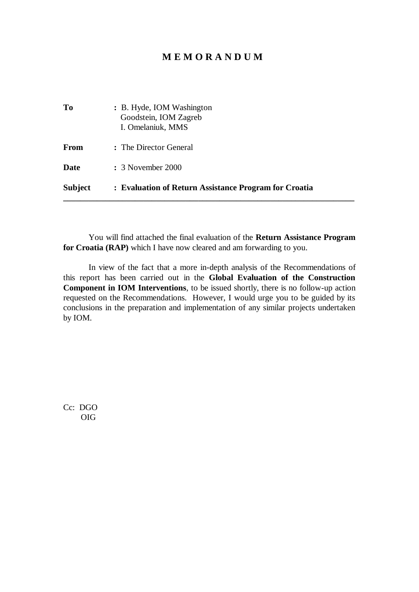## **M E M O R A N D U M**

| Subject   | : Evaluation of Return Assistance Program for Croatia                   |  |  |
|-----------|-------------------------------------------------------------------------|--|--|
| Date      | : 3 November 2000                                                       |  |  |
| From      | : The Director General                                                  |  |  |
| <b>To</b> | : B. Hyde, IOM Washington<br>Goodstein, IOM Zagreb<br>I. Omelaniuk, MMS |  |  |

You will find attached the final evaluation of the **Return Assistance Program for Croatia (RAP)** which I have now cleared and am forwarding to you.

In view of the fact that a more in-depth analysis of the Recommendations of this report has been carried out in the **Global Evaluation of the Construction Component in IOM Interventions**, to be issued shortly, there is no follow-up action requested on the Recommendations. However, I would urge you to be guided by its conclusions in the preparation and implementation of any similar projects undertaken by IOM.

Cc: DGO OIG